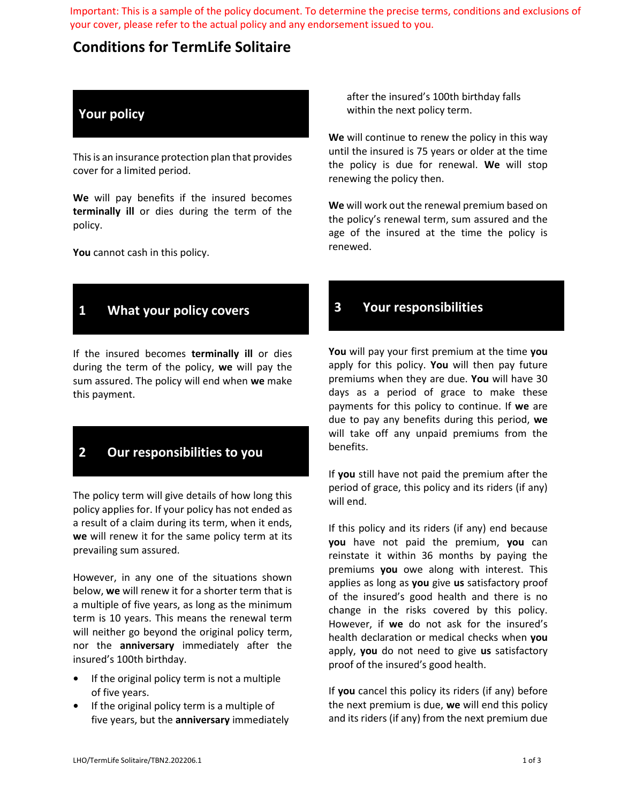Important: This is a sample of the policy document. To determine the precise terms, conditions and exclusions of your cover, please refer to the actual policy and any endorsement issued to you.

# **Conditions for TermLife Solitaire**

## **Your policy**

This is an insurance protection plan that provides cover for a limited period.

**We** will pay benefits if the insured becomes **terminally ill** or dies during the term of the policy.

**You** cannot cash in this policy.

## **1 What your policy covers**

If the insured becomes **terminally ill** or dies during the term of the policy, **we** will pay the sum assured. The policy will end when **we** make this payment.

## **2 Our responsibilities to you**

The policy term will give details of how long this policy applies for. If your policy has not ended as a result of a claim during its term, when it ends, **we** will renew it for the same policy term at its prevailing sum assured.

However, in any one of the situations shown below, **we** will renew it for a shorter term that is a multiple of five years, as long as the minimum term is 10 years. This means the renewal term will neither go beyond the original policy term, nor the **anniversary** immediately after the insured's 100th birthday.

- **•** If the original policy term is not a multiple of five years.
- **•** If the original policy term is a multiple of five years, but the **anniversary** immediately

after the insured's 100th birthday falls within the next policy term.

**We** will continue to renew the policy in this way until the insured is 75 years or older at the time the policy is due for renewal. **We** will stop renewing the policy then.

**We** will work out the renewal premium based on the policy's renewal term, sum assured and the age of the insured at the time the policy is renewed.

### **3 Your responsibilities**

**You** will pay your first premium at the time **you**  apply for this policy. **You** will then pay future premiums when they are due. **You** will have 30 days as a period of grace to make these payments for this policy to continue. If **we** are due to pay any benefits during this period, **we**  will take off any unpaid premiums from the benefits.

If **you** still have not paid the premium after the period of grace, this policy and its riders (if any) will end.

If this policy and its riders (if any) end because **you** have not paid the premium, **you** can reinstate it within 36 months by paying the premiums **you** owe along with interest. This applies as long as **you** give **us** satisfactory proof of the insured's good health and there is no change in the risks covered by this policy. However, if **we** do not ask for the insured's health declaration or medical checks when **you** apply, **you** do not need to give **us** satisfactory proof of the insured's good health.

If **you** cancel this policy its riders (if any) before the next premium is due, **we** will end this policy and its riders (if any) from the next premium due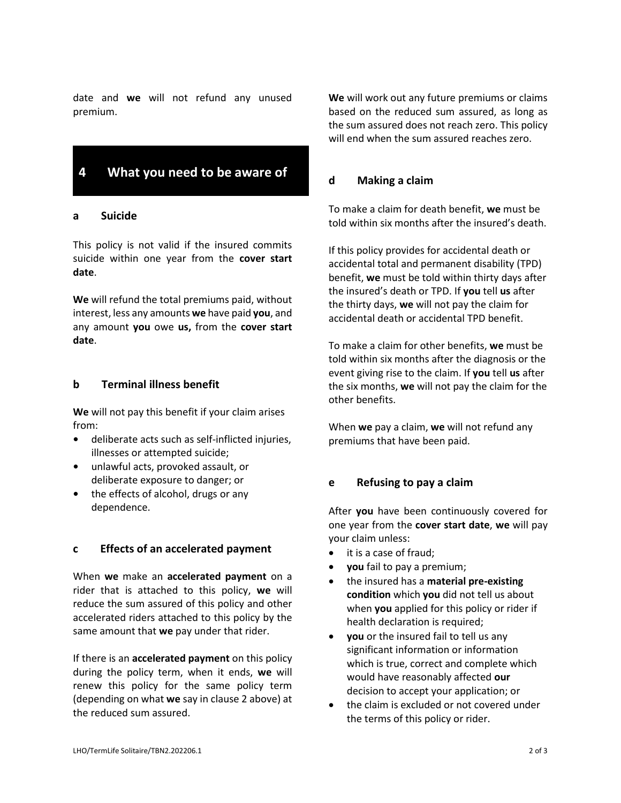date and **we** will not refund any unused premium.

## **4 What you need to be aware of**

#### **a Suicide**

This policy is not valid if the insured commits suicide within one year from the **cover start date**.

**We** will refund the total premiums paid, without interest, less any amounts **we** have paid **you**, and any amount **you** owe **us,** from the **cover start date**.

#### **b Terminal illness benefit**

**We** will not pay this benefit if your claim arises from:

- deliberate acts such as self-inflicted injuries, illnesses or attempted suicide;
- unlawful acts, provoked assault, or deliberate exposure to danger; or
- the effects of alcohol, drugs or any dependence.

#### **c Effects of an accelerated payment**

When **we** make an **accelerated payment** on a rider that is attached to this policy, **we** will reduce the sum assured of this policy and other accelerated riders attached to this policy by the same amount that **we** pay under that rider.

If there is an **accelerated payment** on this policy during the policy term, when it ends, **we** will renew this policy for the same policy term (depending on what **we** say in clause 2 above) at the reduced sum assured.

**We** will work out any future premiums or claims based on the reduced sum assured, as long as the sum assured does not reach zero. This policy will end when the sum assured reaches zero.

#### **d Making a claim**

To make a claim for death benefit, **we** must be told within six months after the insured's death.

If this policy provides for accidental death or accidental total and permanent disability (TPD) benefit, **we** must be told within thirty days after the insured's death or TPD. If **you** tell **us** after the thirty days, **we** will not pay the claim for accidental death or accidental TPD benefit.

To make a claim for other benefits, **we** must be told within six months after the diagnosis or the event giving rise to the claim. If **you** tell **us** after the six months, **we** will not pay the claim for the other benefits.

When **we** pay a claim, **we** will not refund any premiums that have been paid.

#### **e Refusing to pay a claim**

After **you** have been continuously covered for one year from the **cover start date**, **we** will pay your claim unless:

- it is a case of fraud;
- **you** fail to pay a premium;
- the insured has a **material pre-existing condition** which **you** did not tell us about when **you** applied for this policy or rider if health declaration is required;
- **you** or the insured fail to tell us any significant information or information which is true, correct and complete which would have reasonably affected **our** decision to accept your application; or
- the claim is excluded or not covered under the terms of this policy or rider.